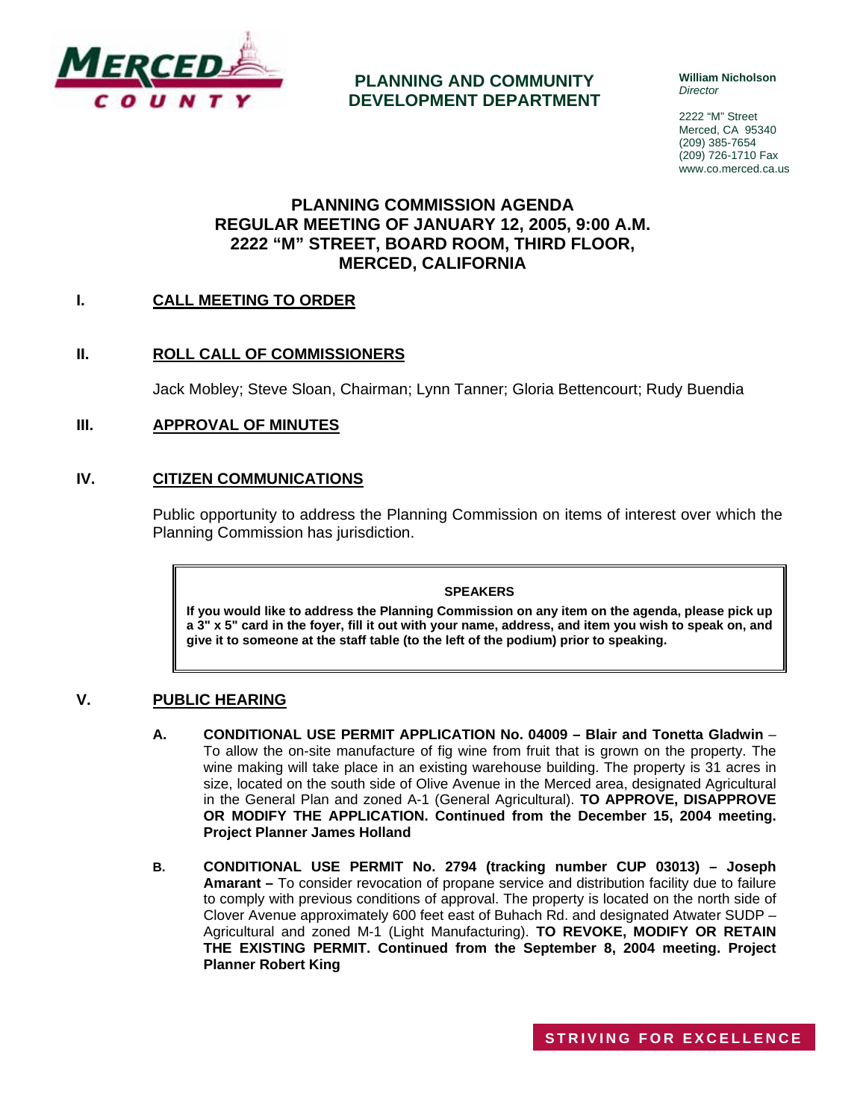

**PLANNING AND COMMUNITY DEVELOPMENT DEPARTMENT** **William Nicholson**  *Director* 

2222 "M" Street Merced, CA 95340 (209) 385-7654 (209) 726-1710 Fax www.co.merced.ca.us

### **PLANNING COMMISSION AGENDA REGULAR MEETING OF JANUARY 12, 2005, 9:00 A.M. 2222 "M" STREET, BOARD ROOM, THIRD FLOOR, MERCED, CALIFORNIA**

### **I. CALL MEETING TO ORDER**

### **II. ROLL CALL OF COMMISSIONERS**

Jack Mobley; Steve Sloan, Chairman; Lynn Tanner; Gloria Bettencourt; Rudy Buendia

### **III. APPROVAL OF MINUTES**

### **IV. CITIZEN COMMUNICATIONS**

Public opportunity to address the Planning Commission on items of interest over which the Planning Commission has jurisdiction.

#### **SPEAKERS**

**If you would like to address the Planning Commission on any item on the agenda, please pick up a 3" x 5" card in the foyer, fill it out with your name, address, and item you wish to speak on, and give it to someone at the staff table (to the left of the podium) prior to speaking.**

### **V. PUBLIC HEARING**

- **A. CONDITIONAL USE PERMIT APPLICATION No. 04009 Blair and Tonetta Gladwin** To allow the on-site manufacture of fig wine from fruit that is grown on the property. The wine making will take place in an existing warehouse building. The property is 31 acres in size, located on the south side of Olive Avenue in the Merced area, designated Agricultural in the General Plan and zoned A-1 (General Agricultural). **TO APPROVE, DISAPPROVE OR MODIFY THE APPLICATION. Continued from the December 15, 2004 meeting. Project Planner James Holland**
- **B. CONDITIONAL USE PERMIT No. 2794 (tracking number CUP 03013) Joseph Amarant –** To consider revocation of propane service and distribution facility due to failure to comply with previous conditions of approval. The property is located on the north side of Clover Avenue approximately 600 feet east of Buhach Rd. and designated Atwater SUDP – Agricultural and zoned M-1 (Light Manufacturing). **TO REVOKE, MODIFY OR RETAIN THE EXISTING PERMIT. Continued from the September 8, 2004 meeting. Project Planner Robert King**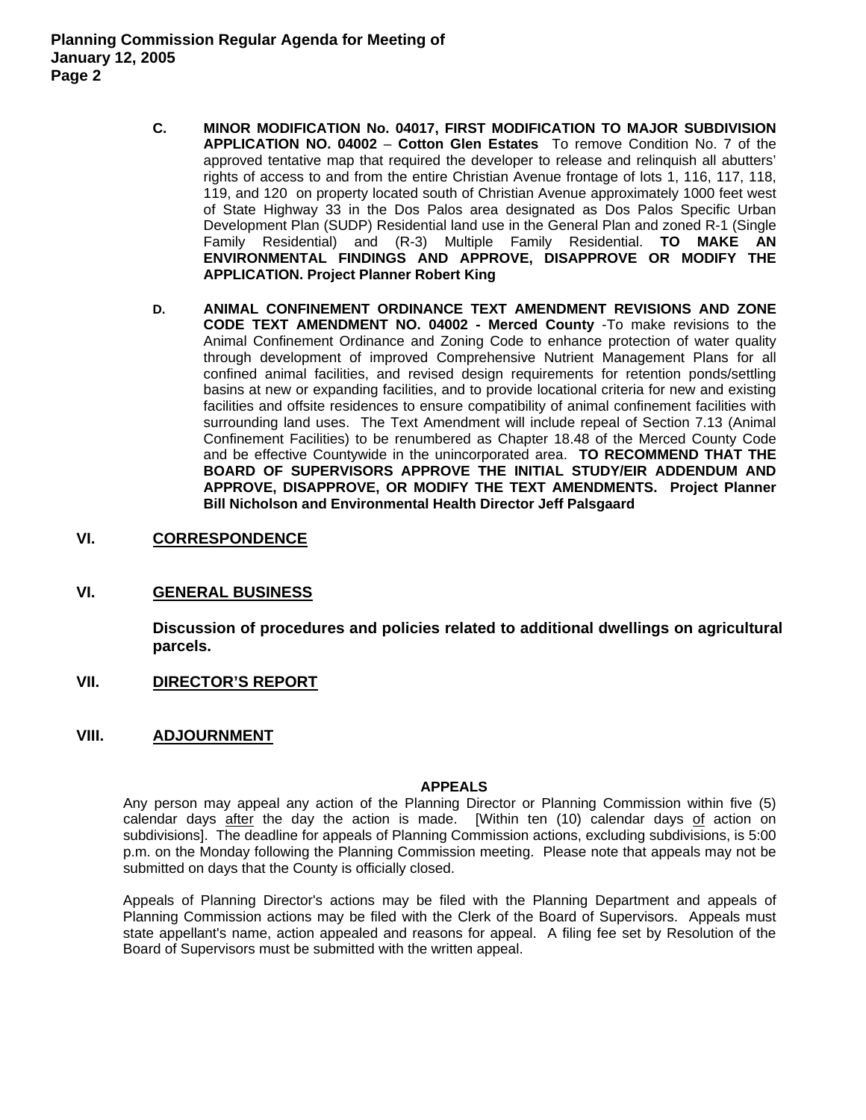- **C. MINOR MODIFICATION No. 04017, FIRST MODIFICATION TO MAJOR SUBDIVISION APPLICATION NO. 04002** – **Cotton Glen Estates** To remove Condition No. 7 of the approved tentative map that required the developer to release and relinquish all abutters' rights of access to and from the entire Christian Avenue frontage of lots 1, 116, 117, 118, 119, and 120 on property located south of Christian Avenue approximately 1000 feet west of State Highway 33 in the Dos Palos area designated as Dos Palos Specific Urban Development Plan (SUDP) Residential land use in the General Plan and zoned R-1 (Single Family Residential) and (R-3) Multiple Family Residential. **TO MAKE AN ENVIRONMENTAL FINDINGS AND APPROVE, DISAPPROVE OR MODIFY THE APPLICATION. Project Planner Robert King**
- **D. ANIMAL CONFINEMENT ORDINANCE TEXT AMENDMENT REVISIONS AND ZONE CODE TEXT AMENDMENT NO. 04002 - Merced County** -To make revisions to the Animal Confinement Ordinance and Zoning Code to enhance protection of water quality through development of improved Comprehensive Nutrient Management Plans for all confined animal facilities, and revised design requirements for retention ponds/settling basins at new or expanding facilities, and to provide locational criteria for new and existing facilities and offsite residences to ensure compatibility of animal confinement facilities with surrounding land uses. The Text Amendment will include repeal of Section 7.13 (Animal Confinement Facilities) to be renumbered as Chapter 18.48 of the Merced County Code and be effective Countywide in the unincorporated area. **TO RECOMMEND THAT THE BOARD OF SUPERVISORS APPROVE THE INITIAL STUDY/EIR ADDENDUM AND APPROVE, DISAPPROVE, OR MODIFY THE TEXT AMENDMENTS. Project Planner Bill Nicholson and Environmental Health Director Jeff Palsgaard**

### **VI. CORRESPONDENCE**

### **VI. GENERAL BUSINESS**

**Discussion of procedures and policies related to additional dwellings on agricultural parcels.** 

**VII. DIRECTOR'S REPORT**

#### **VIII. ADJOURNMENT**

#### **APPEALS**

Any person may appeal any action of the Planning Director or Planning Commission within five (5) calendar days after the day the action is made. [Within ten (10) calendar days of action on subdivisions]. The deadline for appeals of Planning Commission actions, excluding subdivisions, is 5:00 p.m. on the Monday following the Planning Commission meeting. Please note that appeals may not be submitted on days that the County is officially closed.

Appeals of Planning Director's actions may be filed with the Planning Department and appeals of Planning Commission actions may be filed with the Clerk of the Board of Supervisors. Appeals must state appellant's name, action appealed and reasons for appeal. A filing fee set by Resolution of the Board of Supervisors must be submitted with the written appeal.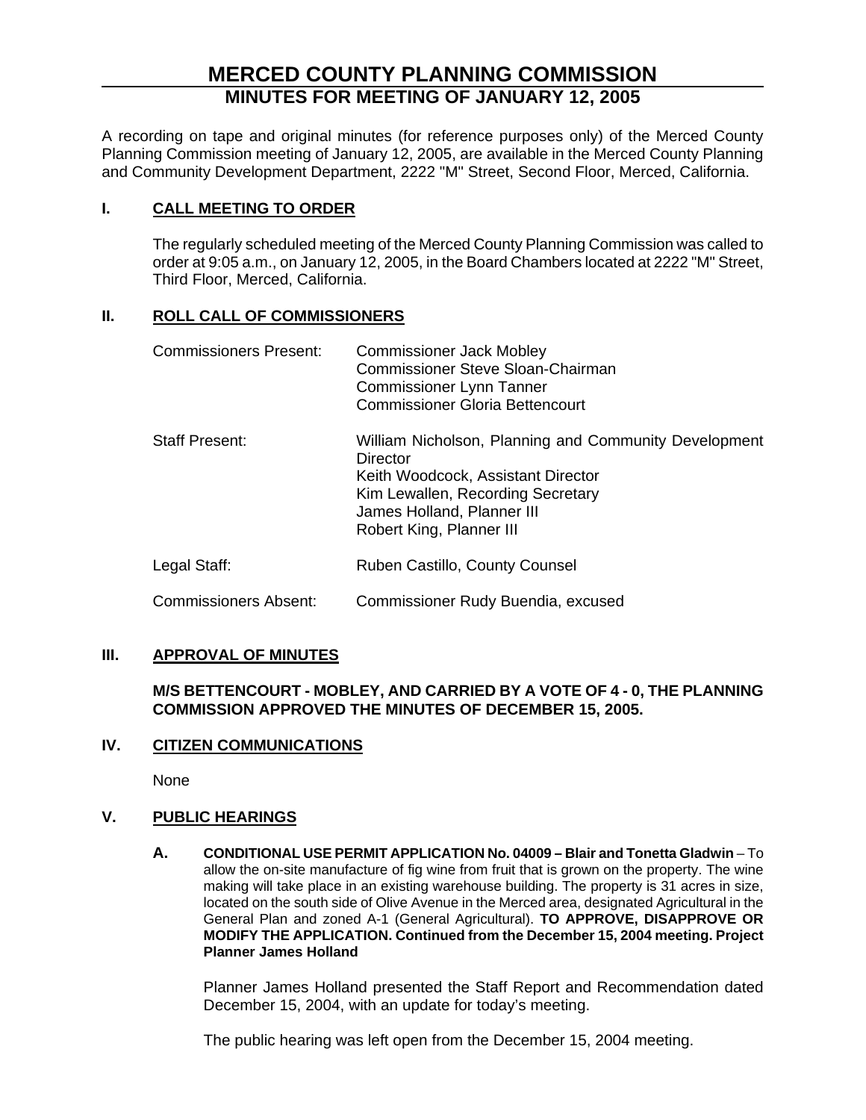# **MERCED COUNTY PLANNING COMMISSION MINUTES FOR MEETING OF JANUARY 12, 2005**

A recording on tape and original minutes (for reference purposes only) of the Merced County Planning Commission meeting of January 12, 2005, are available in the Merced County Planning and Community Development Department, 2222 "M" Street, Second Floor, Merced, California.

### **I. CALL MEETING TO ORDER**

The regularly scheduled meeting of the Merced County Planning Commission was called to order at 9:05 a.m., on January 12, 2005, in the Board Chambers located at 2222 "M" Street, Third Floor, Merced, California.

### **II. ROLL CALL OF COMMISSIONERS**

| <b>Commissioners Present:</b> | <b>Commissioner Jack Mobley</b><br>Commissioner Steve Sloan-Chairman<br><b>Commissioner Lynn Tanner</b><br><b>Commissioner Gloria Bettencourt</b>                                                      |
|-------------------------------|--------------------------------------------------------------------------------------------------------------------------------------------------------------------------------------------------------|
| <b>Staff Present:</b>         | William Nicholson, Planning and Community Development<br>Director<br>Keith Woodcock, Assistant Director<br>Kim Lewallen, Recording Secretary<br>James Holland, Planner III<br>Robert King, Planner III |
| Legal Staff:                  | Ruben Castillo, County Counsel                                                                                                                                                                         |
| <b>Commissioners Absent:</b>  | Commissioner Rudy Buendia, excused                                                                                                                                                                     |

### **III. APPROVAL OF MINUTES**

### **M/S BETTENCOURT - MOBLEY, AND CARRIED BY A VOTE OF 4 - 0, THE PLANNING COMMISSION APPROVED THE MINUTES OF DECEMBER 15, 2005.**

### **IV. CITIZEN COMMUNICATIONS**

None

### **V. PUBLIC HEARINGS**

**A. CONDITIONAL USE PERMIT APPLICATION No. 04009 – Blair and Tonetta Gladwin** – To allow the on-site manufacture of fig wine from fruit that is grown on the property. The wine making will take place in an existing warehouse building. The property is 31 acres in size, located on the south side of Olive Avenue in the Merced area, designated Agricultural in the General Plan and zoned A-1 (General Agricultural). **TO APPROVE, DISAPPROVE OR MODIFY THE APPLICATION. Continued from the December 15, 2004 meeting. Project Planner James Holland**

Planner James Holland presented the Staff Report and Recommendation dated December 15, 2004, with an update for today's meeting.

The public hearing was left open from the December 15, 2004 meeting.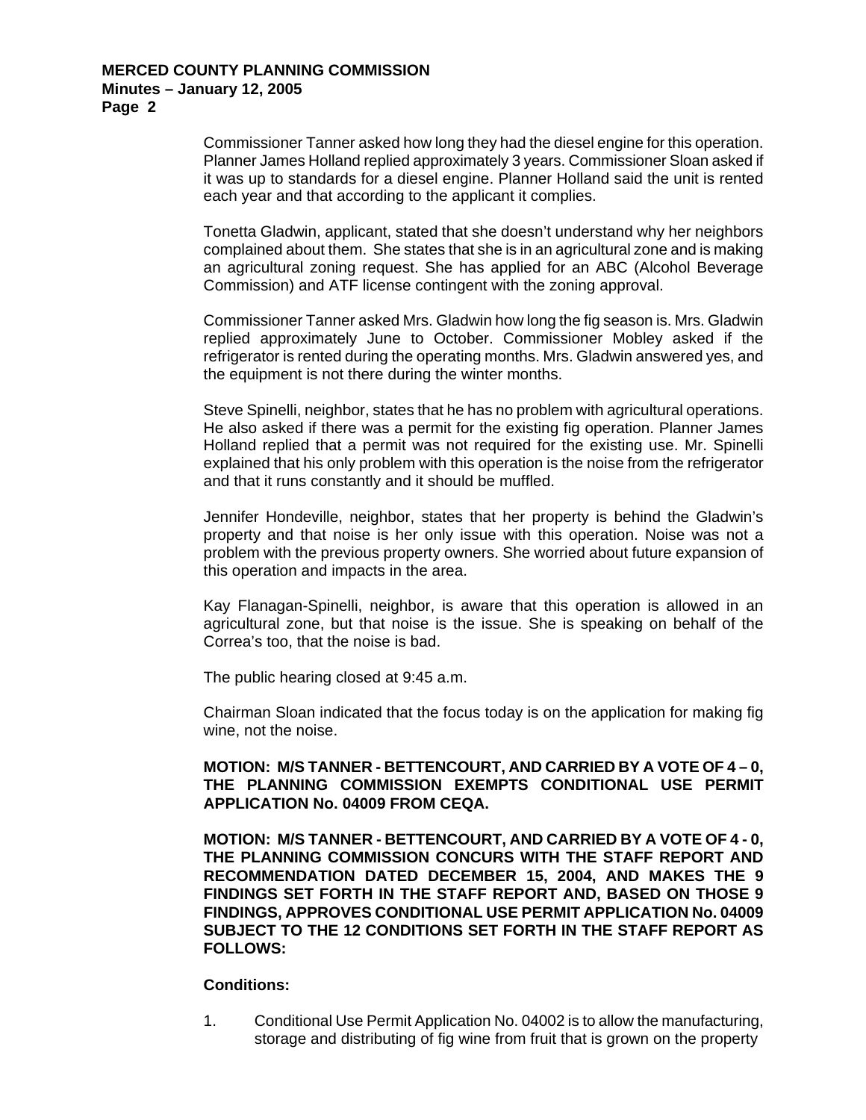Commissioner Tanner asked how long they had the diesel engine for this operation. Planner James Holland replied approximately 3 years. Commissioner Sloan asked if it was up to standards for a diesel engine. Planner Holland said the unit is rented each year and that according to the applicant it complies.

Tonetta Gladwin, applicant, stated that she doesn't understand why her neighbors complained about them. She states that she is in an agricultural zone and is making an agricultural zoning request. She has applied for an ABC (Alcohol Beverage Commission) and ATF license contingent with the zoning approval.

Commissioner Tanner asked Mrs. Gladwin how long the fig season is. Mrs. Gladwin replied approximately June to October. Commissioner Mobley asked if the refrigerator is rented during the operating months. Mrs. Gladwin answered yes, and the equipment is not there during the winter months.

Steve Spinelli, neighbor, states that he has no problem with agricultural operations. He also asked if there was a permit for the existing fig operation. Planner James Holland replied that a permit was not required for the existing use. Mr. Spinelli explained that his only problem with this operation is the noise from the refrigerator and that it runs constantly and it should be muffled.

Jennifer Hondeville, neighbor, states that her property is behind the Gladwin's property and that noise is her only issue with this operation. Noise was not a problem with the previous property owners. She worried about future expansion of this operation and impacts in the area.

Kay Flanagan-Spinelli, neighbor, is aware that this operation is allowed in an agricultural zone, but that noise is the issue. She is speaking on behalf of the Correa's too, that the noise is bad.

The public hearing closed at 9:45 a.m.

Chairman Sloan indicated that the focus today is on the application for making fig wine, not the noise.

**MOTION: M/S TANNER - BETTENCOURT, AND CARRIED BY A VOTE OF 4 – 0, THE PLANNING COMMISSION EXEMPTS CONDITIONAL USE PERMIT APPLICATION No. 04009 FROM CEQA.** 

**MOTION: M/S TANNER - BETTENCOURT, AND CARRIED BY A VOTE OF 4 - 0, THE PLANNING COMMISSION CONCURS WITH THE STAFF REPORT AND RECOMMENDATION DATED DECEMBER 15, 2004, AND MAKES THE 9 FINDINGS SET FORTH IN THE STAFF REPORT AND, BASED ON THOSE 9 FINDINGS, APPROVES CONDITIONAL USE PERMIT APPLICATION No. 04009 SUBJECT TO THE 12 CONDITIONS SET FORTH IN THE STAFF REPORT AS FOLLOWS:** 

### **Conditions:**

1. Conditional Use Permit Application No. 04002 is to allow the manufacturing, storage and distributing of fig wine from fruit that is grown on the property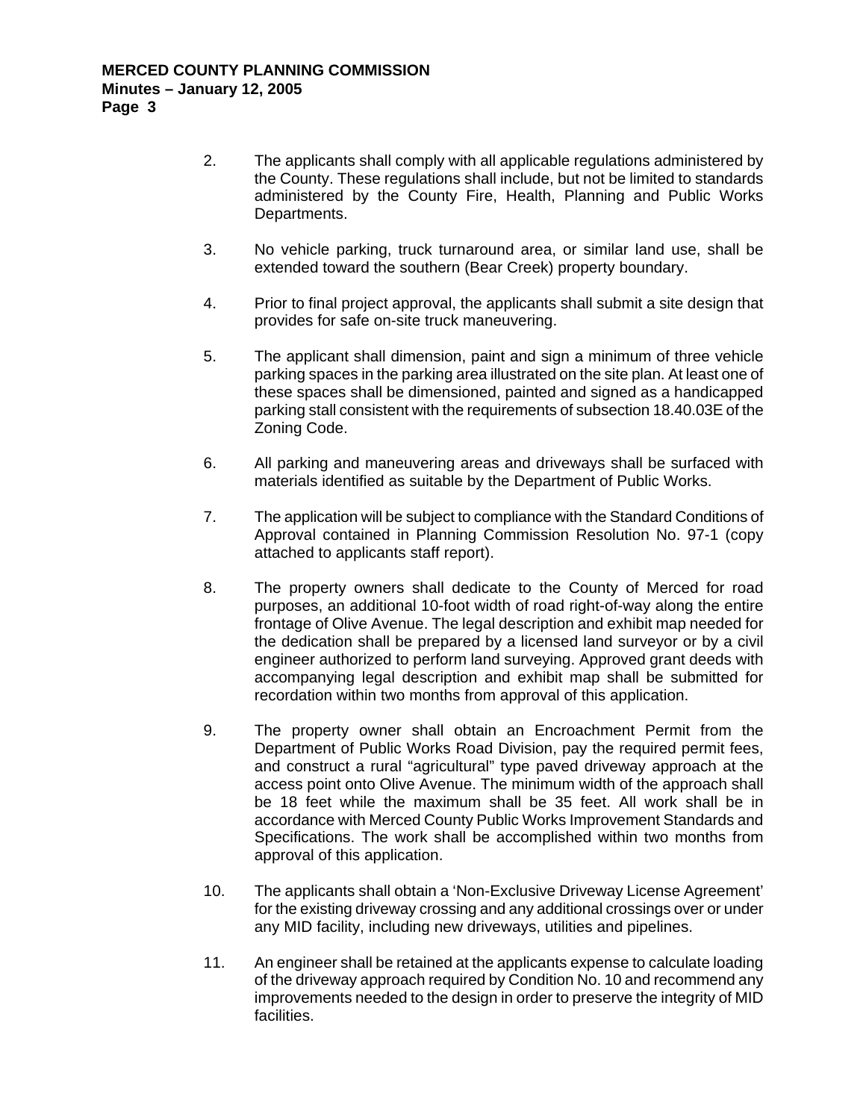- 2. The applicants shall comply with all applicable regulations administered by the County. These regulations shall include, but not be limited to standards administered by the County Fire, Health, Planning and Public Works Departments.
- 3. No vehicle parking, truck turnaround area, or similar land use, shall be extended toward the southern (Bear Creek) property boundary.
- 4. Prior to final project approval, the applicants shall submit a site design that provides for safe on-site truck maneuvering.
- 5. The applicant shall dimension, paint and sign a minimum of three vehicle parking spaces in the parking area illustrated on the site plan. At least one of these spaces shall be dimensioned, painted and signed as a handicapped parking stall consistent with the requirements of subsection 18.40.03E of the Zoning Code.
- 6. All parking and maneuvering areas and driveways shall be surfaced with materials identified as suitable by the Department of Public Works.
- 7. The application will be subject to compliance with the Standard Conditions of Approval contained in Planning Commission Resolution No. 97-1 (copy attached to applicants staff report).
- 8. The property owners shall dedicate to the County of Merced for road purposes, an additional 10-foot width of road right-of-way along the entire frontage of Olive Avenue. The legal description and exhibit map needed for the dedication shall be prepared by a licensed land surveyor or by a civil engineer authorized to perform land surveying. Approved grant deeds with accompanying legal description and exhibit map shall be submitted for recordation within two months from approval of this application.
- 9. The property owner shall obtain an Encroachment Permit from the Department of Public Works Road Division, pay the required permit fees, and construct a rural "agricultural" type paved driveway approach at the access point onto Olive Avenue. The minimum width of the approach shall be 18 feet while the maximum shall be 35 feet. All work shall be in accordance with Merced County Public Works Improvement Standards and Specifications. The work shall be accomplished within two months from approval of this application.
- 10. The applicants shall obtain a 'Non-Exclusive Driveway License Agreement' for the existing driveway crossing and any additional crossings over or under any MID facility, including new driveways, utilities and pipelines.
- 11. An engineer shall be retained at the applicants expense to calculate loading of the driveway approach required by Condition No. 10 and recommend any improvements needed to the design in order to preserve the integrity of MID facilities.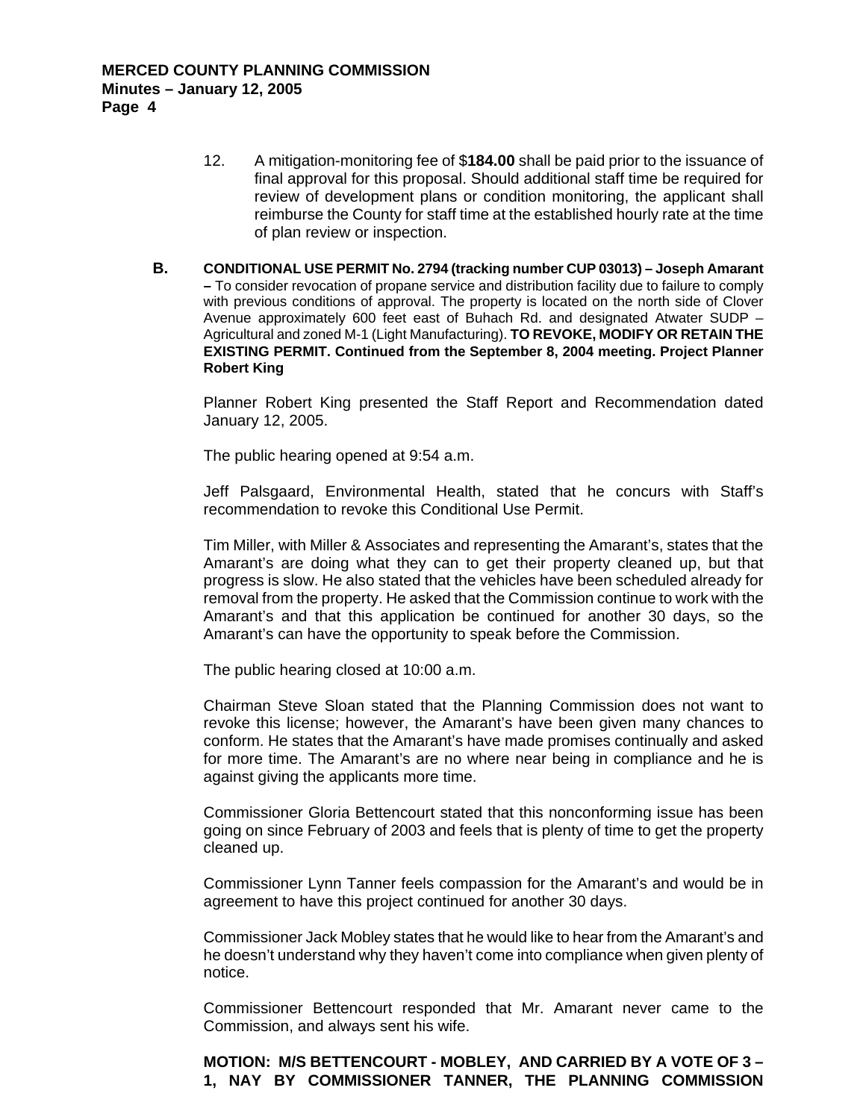- 12. A mitigation-monitoring fee of \$**184.00** shall be paid prior to the issuance of final approval for this proposal. Should additional staff time be required for review of development plans or condition monitoring, the applicant shall reimburse the County for staff time at the established hourly rate at the time of plan review or inspection.
- **B. CONDITIONAL USE PERMIT No. 2794 (tracking number CUP 03013) Joseph Amarant –** To consider revocation of propane service and distribution facility due to failure to comply with previous conditions of approval. The property is located on the north side of Clover Avenue approximately 600 feet east of Buhach Rd. and designated Atwater SUDP – Agricultural and zoned M-1 (Light Manufacturing). **TO REVOKE, MODIFY OR RETAIN THE EXISTING PERMIT. Continued from the September 8, 2004 meeting. Project Planner Robert King**

Planner Robert King presented the Staff Report and Recommendation dated January 12, 2005.

The public hearing opened at 9:54 a.m.

Jeff Palsgaard, Environmental Health, stated that he concurs with Staff's recommendation to revoke this Conditional Use Permit.

Tim Miller, with Miller & Associates and representing the Amarant's, states that the Amarant's are doing what they can to get their property cleaned up, but that progress is slow. He also stated that the vehicles have been scheduled already for removal from the property. He asked that the Commission continue to work with the Amarant's and that this application be continued for another 30 days, so the Amarant's can have the opportunity to speak before the Commission.

The public hearing closed at 10:00 a.m.

Chairman Steve Sloan stated that the Planning Commission does not want to revoke this license; however, the Amarant's have been given many chances to conform. He states that the Amarant's have made promises continually and asked for more time. The Amarant's are no where near being in compliance and he is against giving the applicants more time.

Commissioner Gloria Bettencourt stated that this nonconforming issue has been going on since February of 2003 and feels that is plenty of time to get the property cleaned up.

Commissioner Lynn Tanner feels compassion for the Amarant's and would be in agreement to have this project continued for another 30 days.

Commissioner Jack Mobley states that he would like to hear from the Amarant's and he doesn't understand why they haven't come into compliance when given plenty of notice.

Commissioner Bettencourt responded that Mr. Amarant never came to the Commission, and always sent his wife.

**MOTION: M/S BETTENCOURT - MOBLEY, AND CARRIED BY A VOTE OF 3 – 1, NAY BY COMMISSIONER TANNER, THE PLANNING COMMISSION**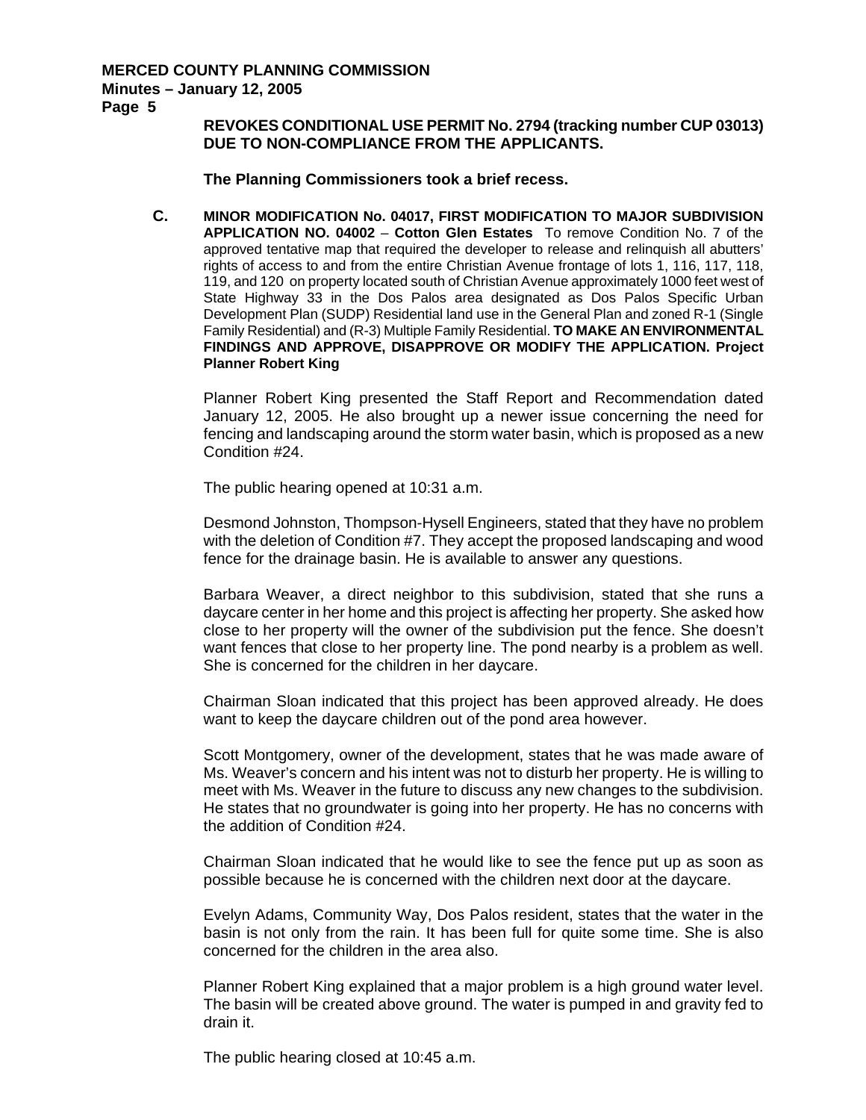#### **MERCED COUNTY PLANNING COMMISSION Minutes – January 12, 2005**

**Page 5** 

### **REVOKES CONDITIONAL USE PERMIT No. 2794 (tracking number CUP 03013) DUE TO NON-COMPLIANCE FROM THE APPLICANTS.**

**The Planning Commissioners took a brief recess.**

**C. MINOR MODIFICATION No. 04017, FIRST MODIFICATION TO MAJOR SUBDIVISION APPLICATION NO. 04002** – **Cotton Glen Estates** To remove Condition No. 7 of the approved tentative map that required the developer to release and relinquish all abutters' rights of access to and from the entire Christian Avenue frontage of lots 1, 116, 117, 118, 119, and 120 on property located south of Christian Avenue approximately 1000 feet west of State Highway 33 in the Dos Palos area designated as Dos Palos Specific Urban Development Plan (SUDP) Residential land use in the General Plan and zoned R-1 (Single Family Residential) and (R-3) Multiple Family Residential. **TO MAKE AN ENVIRONMENTAL FINDINGS AND APPROVE, DISAPPROVE OR MODIFY THE APPLICATION. Project Planner Robert King**

Planner Robert King presented the Staff Report and Recommendation dated January 12, 2005. He also brought up a newer issue concerning the need for fencing and landscaping around the storm water basin, which is proposed as a new Condition #24.

The public hearing opened at 10:31 a.m.

Desmond Johnston, Thompson-Hysell Engineers, stated that they have no problem with the deletion of Condition #7. They accept the proposed landscaping and wood fence for the drainage basin. He is available to answer any questions.

Barbara Weaver, a direct neighbor to this subdivision, stated that she runs a daycare center in her home and this project is affecting her property. She asked how close to her property will the owner of the subdivision put the fence. She doesn't want fences that close to her property line. The pond nearby is a problem as well. She is concerned for the children in her daycare.

Chairman Sloan indicated that this project has been approved already. He does want to keep the daycare children out of the pond area however.

Scott Montgomery, owner of the development, states that he was made aware of Ms. Weaver's concern and his intent was not to disturb her property. He is willing to meet with Ms. Weaver in the future to discuss any new changes to the subdivision. He states that no groundwater is going into her property. He has no concerns with the addition of Condition #24.

Chairman Sloan indicated that he would like to see the fence put up as soon as possible because he is concerned with the children next door at the daycare.

Evelyn Adams, Community Way, Dos Palos resident, states that the water in the basin is not only from the rain. It has been full for quite some time. She is also concerned for the children in the area also.

Planner Robert King explained that a major problem is a high ground water level. The basin will be created above ground. The water is pumped in and gravity fed to drain it.

The public hearing closed at 10:45 a.m.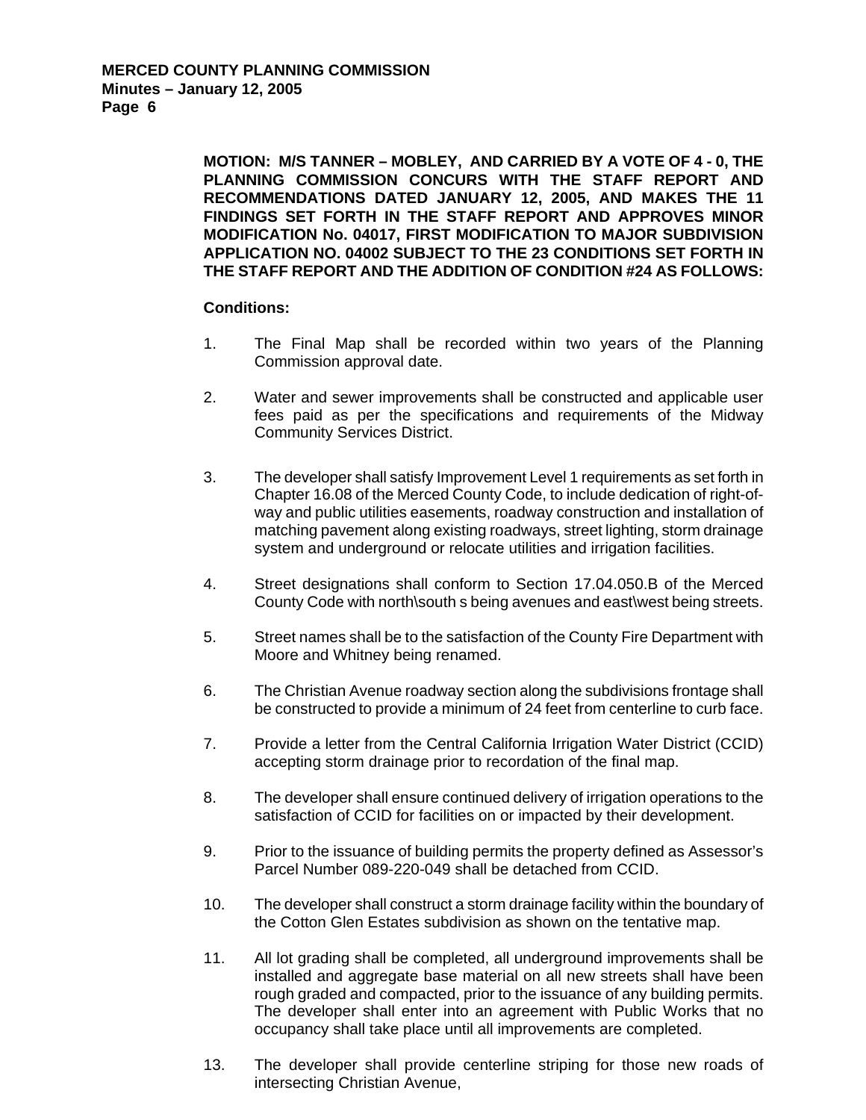**MOTION: M/S TANNER – MOBLEY, AND CARRIED BY A VOTE OF 4 - 0, THE PLANNING COMMISSION CONCURS WITH THE STAFF REPORT AND RECOMMENDATIONS DATED JANUARY 12, 2005, AND MAKES THE 11 FINDINGS SET FORTH IN THE STAFF REPORT AND APPROVES MINOR MODIFICATION No. 04017, FIRST MODIFICATION TO MAJOR SUBDIVISION APPLICATION NO. 04002 SUBJECT TO THE 23 CONDITIONS SET FORTH IN THE STAFF REPORT AND THE ADDITION OF CONDITION #24 AS FOLLOWS:** 

#### **Conditions:**

- 1. The Final Map shall be recorded within two years of the Planning Commission approval date.
- 2. Water and sewer improvements shall be constructed and applicable user fees paid as per the specifications and requirements of the Midway Community Services District.
- 3. The developer shall satisfy Improvement Level 1 requirements as set forth in Chapter 16.08 of the Merced County Code, to include dedication of right-ofway and public utilities easements, roadway construction and installation of matching pavement along existing roadways, street lighting, storm drainage system and underground or relocate utilities and irrigation facilities.
- 4. Street designations shall conform to Section 17.04.050.B of the Merced County Code with north\south s being avenues and east\west being streets.
- 5. Street names shall be to the satisfaction of the County Fire Department with Moore and Whitney being renamed.
- 6. The Christian Avenue roadway section along the subdivisions frontage shall be constructed to provide a minimum of 24 feet from centerline to curb face.
- 7. Provide a letter from the Central California Irrigation Water District (CCID) accepting storm drainage prior to recordation of the final map.
- 8. The developer shall ensure continued delivery of irrigation operations to the satisfaction of CCID for facilities on or impacted by their development.
- 9. Prior to the issuance of building permits the property defined as Assessor's Parcel Number 089-220-049 shall be detached from CCID.
- 10. The developer shall construct a storm drainage facility within the boundary of the Cotton Glen Estates subdivision as shown on the tentative map.
- 11. All lot grading shall be completed, all underground improvements shall be installed and aggregate base material on all new streets shall have been rough graded and compacted, prior to the issuance of any building permits. The developer shall enter into an agreement with Public Works that no occupancy shall take place until all improvements are completed.
- 13. The developer shall provide centerline striping for those new roads of intersecting Christian Avenue,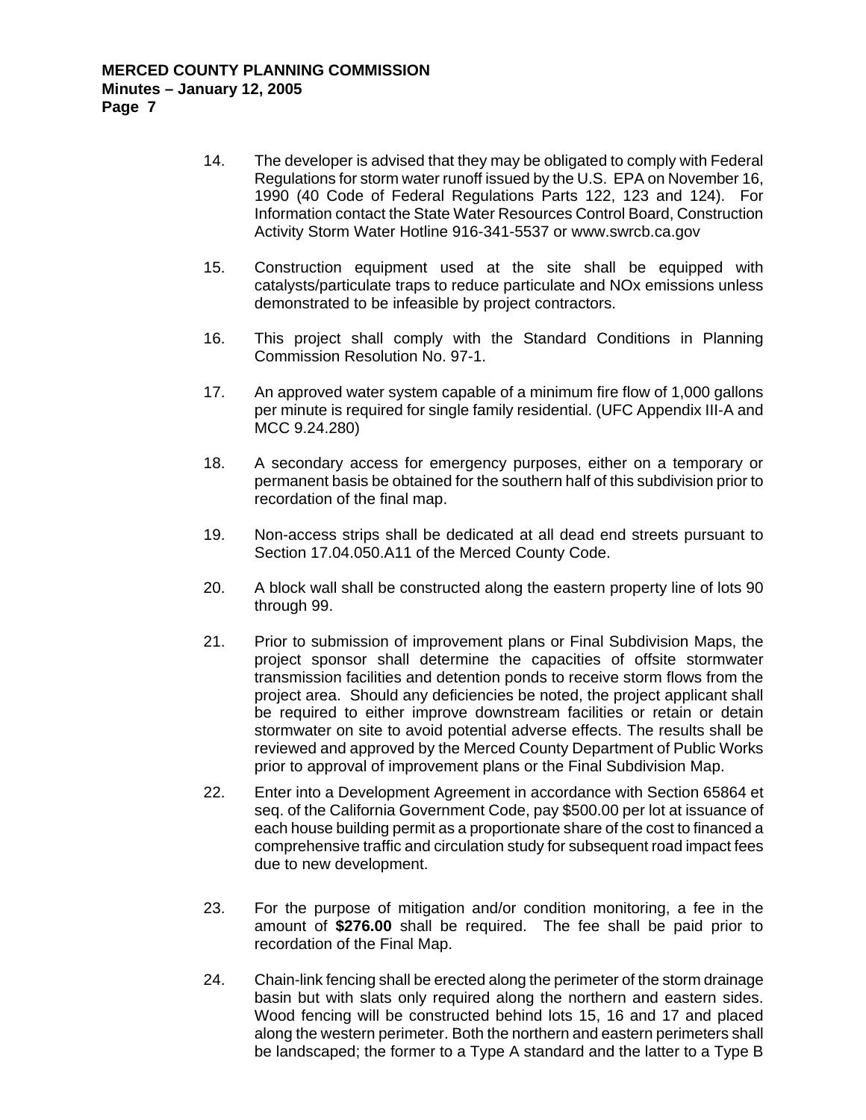- 14. The developer is advised that they may be obligated to comply with Federal Regulations for storm water runoff issued by the U.S. EPA on November 16, 1990 (40 Code of Federal Regulations Parts 122, 123 and 124). For Information contact the State Water Resources Control Board, Construction Activity Storm Water Hotline 916-341-5537 or www.swrcb.ca.gov
- 15. Construction equipment used at the site shall be equipped with catalysts/particulate traps to reduce particulate and NOx emissions unless demonstrated to be infeasible by project contractors.
- 16. This project shall comply with the Standard Conditions in Planning Commission Resolution No. 97-1.
- 17. An approved water system capable of a minimum fire flow of 1,000 gallons per minute is required for single family residential. (UFC Appendix III-A and MCC 9.24.280)
- 18. A secondary access for emergency purposes, either on a temporary or permanent basis be obtained for the southern half of this subdivision prior to recordation of the final map.
- 19. Non-access strips shall be dedicated at all dead end streets pursuant to Section 17.04.050.A11 of the Merced County Code.
- 20. A block wall shall be constructed along the eastern property line of lots 90 through 99.
- 21. Prior to submission of improvement plans or Final Subdivision Maps, the project sponsor shall determine the capacities of offsite stormwater transmission facilities and detention ponds to receive storm flows from the project area. Should any deficiencies be noted, the project applicant shall be required to either improve downstream facilities or retain or detain stormwater on site to avoid potential adverse effects. The results shall be reviewed and approved by the Merced County Department of Public Works prior to approval of improvement plans or the Final Subdivision Map.
- 22. Enter into a Development Agreement in accordance with Section 65864 et seq. of the California Government Code, pay \$500.00 per lot at issuance of each house building permit as a proportionate share of the cost to financed a comprehensive traffic and circulation study for subsequent road impact fees due to new development.
- 23. For the purpose of mitigation and/or condition monitoring, a fee in the amount of **\$276.00** shall be required. The fee shall be paid prior to recordation of the Final Map.
- 24. Chain-link fencing shall be erected along the perimeter of the storm drainage basin but with slats only required along the northern and eastern sides. Wood fencing will be constructed behind lots 15, 16 and 17 and placed along the western perimeter. Both the northern and eastern perimeters shall be landscaped; the former to a Type A standard and the latter to a Type B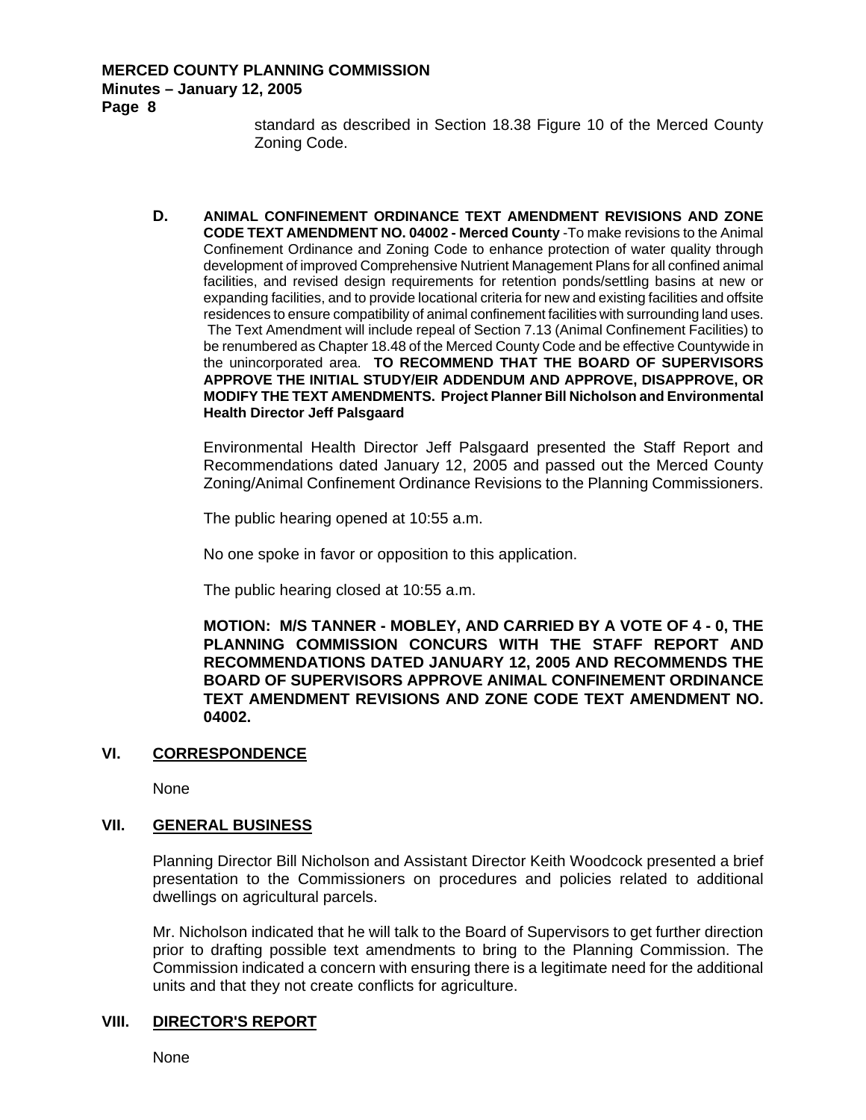#### **MERCED COUNTY PLANNING COMMISSION Minutes – January 12, 2005 Page 8**

standard as described in Section 18.38 Figure 10 of the Merced County Zoning Code.

**D. ANIMAL CONFINEMENT ORDINANCE TEXT AMENDMENT REVISIONS AND ZONE CODE TEXT AMENDMENT NO. 04002 - Merced County** -To make revisions to the Animal Confinement Ordinance and Zoning Code to enhance protection of water quality through development of improved Comprehensive Nutrient Management Plans for all confined animal facilities, and revised design requirements for retention ponds/settling basins at new or expanding facilities, and to provide locational criteria for new and existing facilities and offsite residences to ensure compatibility of animal confinement facilities with surrounding land uses. The Text Amendment will include repeal of Section 7.13 (Animal Confinement Facilities) to be renumbered as Chapter 18.48 of the Merced County Code and be effective Countywide in the unincorporated area. **TO RECOMMEND THAT THE BOARD OF SUPERVISORS APPROVE THE INITIAL STUDY/EIR ADDENDUM AND APPROVE, DISAPPROVE, OR MODIFY THE TEXT AMENDMENTS. Project Planner Bill Nicholson and Environmental Health Director Jeff Palsgaard**

Environmental Health Director Jeff Palsgaard presented the Staff Report and Recommendations dated January 12, 2005 and passed out the Merced County Zoning/Animal Confinement Ordinance Revisions to the Planning Commissioners.

The public hearing opened at 10:55 a.m.

No one spoke in favor or opposition to this application.

The public hearing closed at 10:55 a.m.

**MOTION: M/S TANNER - MOBLEY, AND CARRIED BY A VOTE OF 4 - 0, THE PLANNING COMMISSION CONCURS WITH THE STAFF REPORT AND RECOMMENDATIONS DATED JANUARY 12, 2005 AND RECOMMENDS THE BOARD OF SUPERVISORS APPROVE ANIMAL CONFINEMENT ORDINANCE TEXT AMENDMENT REVISIONS AND ZONE CODE TEXT AMENDMENT NO. 04002.** 

### **VI. CORRESPONDENCE**

None

### **VII. GENERAL BUSINESS**

Planning Director Bill Nicholson and Assistant Director Keith Woodcock presented a brief presentation to the Commissioners on procedures and policies related to additional dwellings on agricultural parcels.

Mr. Nicholson indicated that he will talk to the Board of Supervisors to get further direction prior to drafting possible text amendments to bring to the Planning Commission. The Commission indicated a concern with ensuring there is a legitimate need for the additional units and that they not create conflicts for agriculture.

### **VIII. DIRECTOR'S REPORT**

None